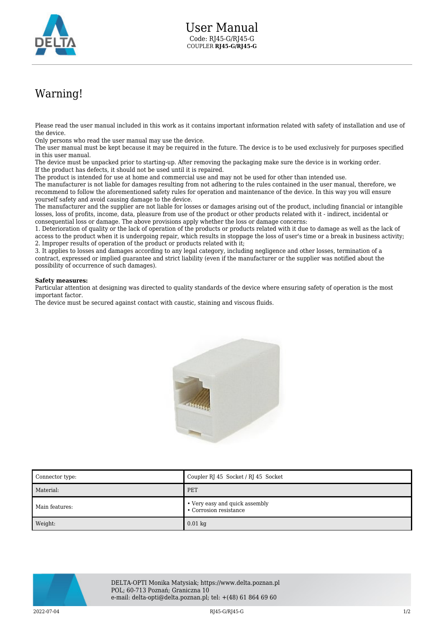

## Warning!

Please read the user manual included in this work as it contains important information related with safety of installation and use of the device.

Only persons who read the user manual may use the device.

The user manual must be kept because it may be required in the future. The device is to be used exclusively for purposes specified in this user manual.

The device must be unpacked prior to starting-up. After removing the packaging make sure the device is in working order. If the product has defects, it should not be used until it is repaired.

The product is intended for use at home and commercial use and may not be used for other than intended use.

The manufacturer is not liable for damages resulting from not adhering to the rules contained in the user manual, therefore, we recommend to follow the aforementioned safety rules for operation and maintenance of the device. In this way you will ensure yourself safety and avoid causing damage to the device.

The manufacturer and the supplier are not liable for losses or damages arising out of the product, including financial or intangible losses, loss of profits, income, data, pleasure from use of the product or other products related with it - indirect, incidental or consequential loss or damage. The above provisions apply whether the loss or damage concerns:

1. Deterioration of quality or the lack of operation of the products or products related with it due to damage as well as the lack of access to the product when it is undergoing repair, which results in stoppage the loss of user's time or a break in business activity; 2. Improper results of operation of the product or products related with it;

3. It applies to losses and damages according to any legal category, including negligence and other losses, termination of a contract, expressed or implied guarantee and strict liability (even if the manufacturer or the supplier was notified about the possibility of occurrence of such damages).

## **Safety measures:**

Particular attention at designing was directed to quality standards of the device where ensuring safety of operation is the most important factor.

The device must be secured against contact with caustic, staining and viscous fluids.



| Connector type: | Coupler RJ 45 Socket / RJ 45 Socket                      |
|-----------------|----------------------------------------------------------|
| Material:       | PET                                                      |
| Main features:  | • Very easy and quick assembly<br>• Corrosion resistance |
| Weight:         | $0.01$ kg                                                |



DELTA-OPTI Monika Matysiak; https://www.delta.poznan.pl POL; 60-713 Poznań; Graniczna 10 e-mail: delta-opti@delta.poznan.pl; tel: +(48) 61 864 69 60

2022-07-04 RJ45-G/RJ45-G 1/2